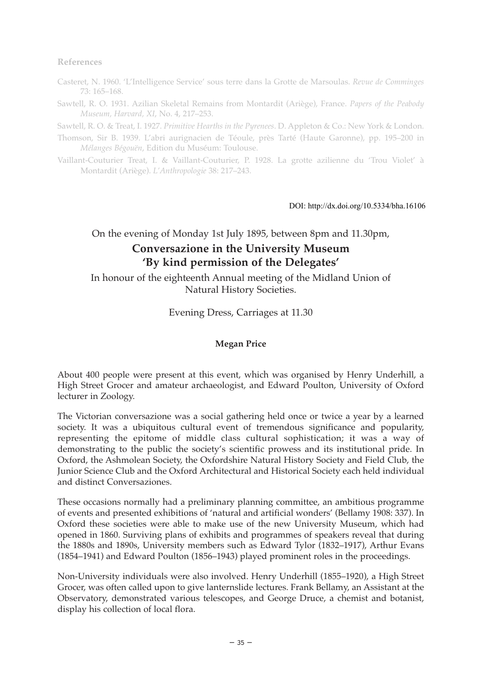### **References**

- Casteret, N. 1960. 'L'Intelligence Service' sous terre dans la Grotte de Marsoulas. *Revue de Comminges* 73: 165–168.
- Sawtell, R. O. 1931. Azilian Skeletal Remains from Montardit (Ariège), France. *Papers of the Peabody Museum, Harvard, XI*, No. 4, 217–253.

Sawtell, R. O. & Treat, I. 1927. *Primitive Hearths in the Pyrenees*. D. Appleton & Co.: New York & London.

- Thomson, Sir B. 1939. L'abri aurignacien de Téoule, près Tarté (Haute Garonne), pp. 195–200 in *Mélanges Bégouën*, Edition du Muséum: Toulouse.
- Vaillant-Couturier Treat, I. & Vaillant-Couturier, P. 1928. La grotte azilienne du 'Trou Violet' à Montardit (Ariège). *L'Anthropologie* 38: 217–243.

DOI: http://dx.doi.org/10.5334/bha.16106

# On the evening of Monday 1st July 1895, between 8pm and 11.30pm, **Conversazione in the University Museum 'By kind permission of the Delegates'**

In honour of the eighteenth Annual meeting of the Midland Union of Natural History Societies.

Evening Dress, Carriages at 11.30

## **Megan Price**

About 400 people were present at this event, which was organised by Henry Underhill, a High Street Grocer and amateur archaeologist, and Edward Poulton, University of Oxford lecturer in Zoology.

The Victorian conversazione was a social gathering held once or twice a year by a learned society. It was a ubiquitous cultural event of tremendous significance and popularity, representing the epitome of middle class cultural sophistication; it was a way of demonstrating to the public the society's scientific prowess and its institutional pride. In Oxford, the Ashmolean Society, the Oxfordshire Natural History Society and Field Club, the Junior Science Club and the Oxford Architectural and Historical Society each held individual and distinct Conversaziones.

These occasions normally had a preliminary planning committee, an ambitious programme of events and presented exhibitions of 'natural and artificial wonders' (Bellamy 1908: 337). In Oxford these societies were able to make use of the new University Museum, which had opened in 1860. Surviving plans of exhibits and programmes of speakers reveal that during the 1880s and 1890s, University members such as Edward Tylor (1832–1917), Arthur Evans (1854–1941) and Edward Poulton (1856–1943) played prominent roles in the proceedings.

Non-University individuals were also involved. Henry Underhill (1855–1920), a High Street Grocer, was often called upon to give lanternslide lectures. Frank Bellamy, an Assistant at the Observatory, demonstrated various telescopes, and George Druce, a chemist and botanist, display his collection of local flora.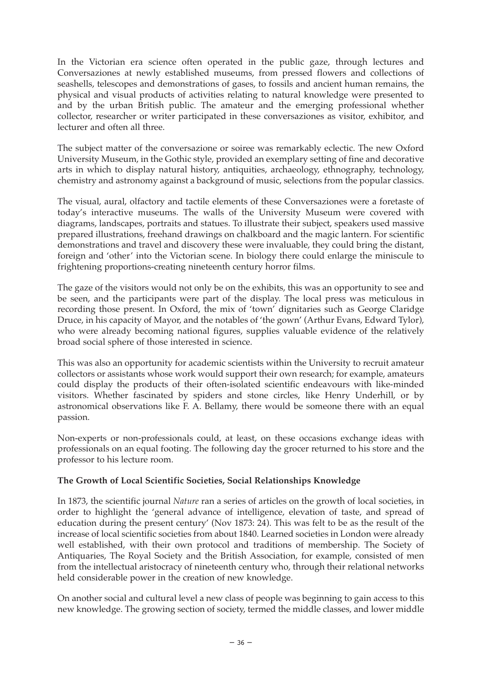In the Victorian era science often operated in the public gaze, through lectures and Conversaziones at newly established museums, from pressed flowers and collections of seashells, telescopes and demonstrations of gases, to fossils and ancient human remains, the physical and visual products of activities relating to natural knowledge were presented to and by the urban British public. The amateur and the emerging professional whether collector, researcher or writer participated in these conversaziones as visitor, exhibitor, and lecturer and often all three.

The subject matter of the conversazione or soiree was remarkably eclectic. The new Oxford University Museum, in the Gothic style, provided an exemplary setting of fine and decorative arts in which to display natural history, antiquities, archaeology, ethnography, technology, chemistry and astronomy against a background of music, selections from the popular classics.

The visual, aural, olfactory and tactile elements of these Conversaziones were a foretaste of today's interactive museums. The walls of the University Museum were covered with diagrams, landscapes, portraits and statues. To illustrate their subject, speakers used massive prepared illustrations, freehand drawings on chalkboard and the magic lantern. For scientific demonstrations and travel and discovery these were invaluable, they could bring the distant, foreign and 'other' into the Victorian scene. In biology there could enlarge the miniscule to frightening proportions-creating nineteenth century horror films.

The gaze of the visitors would not only be on the exhibits, this was an opportunity to see and be seen, and the participants were part of the display. The local press was meticulous in recording those present. In Oxford, the mix of 'town' dignitaries such as George Claridge Druce, in his capacity of Mayor, and the notables of 'the gown' (Arthur Evans, Edward Tylor), who were already becoming national figures, supplies valuable evidence of the relatively broad social sphere of those interested in science.

This was also an opportunity for academic scientists within the University to recruit amateur collectors or assistants whose work would support their own research; for example, amateurs could display the products of their often-isolated scientific endeavours with like-minded visitors. Whether fascinated by spiders and stone circles, like Henry Underhill, or by astronomical observations like F. A. Bellamy, there would be someone there with an equal passion.

Non-experts or non-professionals could, at least, on these occasions exchange ideas with professionals on an equal footing. The following day the grocer returned to his store and the professor to his lecture room.

# **The Growth of Local Scientific Societies, Social Relationships Knowledge**

In 1873, the scientific journal *Nature* ran a series of articles on the growth of local societies, in order to highlight the 'general advance of intelligence, elevation of taste, and spread of education during the present century' (Nov 1873: 24). This was felt to be as the result of the increase of local scientific societies from about 1840. Learned societies in London were already well established, with their own protocol and traditions of membership. The Society of Antiquaries, The Royal Society and the British Association, for example, consisted of men from the intellectual aristocracy of nineteenth century who, through their relational networks held considerable power in the creation of new knowledge.

On another social and cultural level a new class of people was beginning to gain access to this new knowledge. The growing section of society, termed the middle classes, and lower middle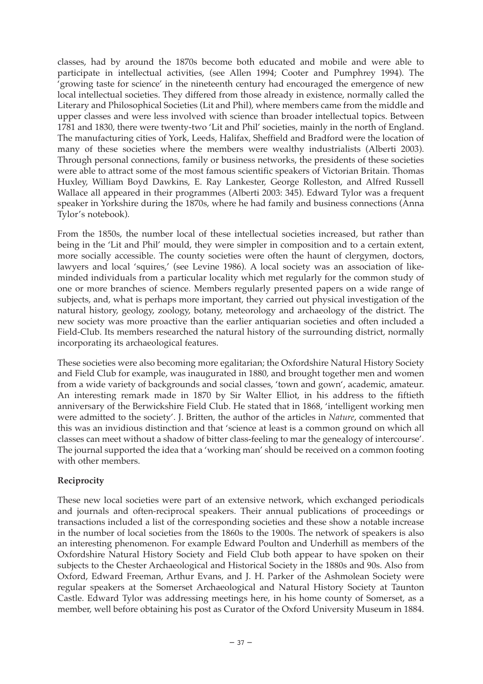classes, had by around the 1870s become both educated and mobile and were able to participate in intellectual activities, (see Allen 1994; Cooter and Pumphrey 1994). The 'growing taste for science' in the nineteenth century had encouraged the emergence of new local intellectual societies. They differed from those already in existence, normally called the Literary and Philosophical Societies (Lit and Phil), where members came from the middle and upper classes and were less involved with science than broader intellectual topics. Between 1781 and 1830, there were twenty-two 'Lit and Phil' societies, mainly in the north of England. The manufacturing cities of York, Leeds, Halifax, Sheffield and Bradford were the location of many of these societies where the members were wealthy industrialists (Alberti 2003). Through personal connections, family or business networks, the presidents of these societies were able to attract some of the most famous scientific speakers of Victorian Britain. Thomas Huxley, William Boyd Dawkins, E. Ray Lankester, George Rolleston, and Alfred Russell Wallace all appeared in their programmes (Alberti 2003: 345). Edward Tylor was a frequent speaker in Yorkshire during the 1870s, where he had family and business connections (Anna Tylor's notebook).

From the 1850s, the number local of these intellectual societies increased, but rather than being in the 'Lit and Phil' mould, they were simpler in composition and to a certain extent, more socially accessible. The county societies were often the haunt of clergymen, doctors, lawyers and local 'squires,' (see Levine 1986). A local society was an association of likeminded individuals from a particular locality which met regularly for the common study of one or more branches of science. Members regularly presented papers on a wide range of subjects, and, what is perhaps more important, they carried out physical investigation of the natural history, geology, zoology, botany, meteorology and archaeology of the district. The new society was more proactive than the earlier antiquarian societies and often included a Field-Club. Its members researched the natural history of the surrounding district, normally incorporating its archaeological features.

These societies were also becoming more egalitarian; the Oxfordshire Natural History Society and Field Club for example, was inaugurated in 1880, and brought together men and women from a wide variety of backgrounds and social classes, 'town and gown', academic, amateur. An interesting remark made in 1870 by Sir Walter Elliot, in his address to the fiftieth anniversary of the Berwickshire Field Club. He stated that in 1868, 'intelligent working men were admitted to the society'. J. Britten, the author of the articles in *Nature*, commented that this was an invidious distinction and that 'science at least is a common ground on which all classes can meet without a shadow of bitter class-feeling to mar the genealogy of intercourse'. The journal supported the idea that a 'working man' should be received on a common footing with other members.

# **Reciprocity**

These new local societies were part of an extensive network, which exchanged periodicals and journals and often-reciprocal speakers. Their annual publications of proceedings or transactions included a list of the corresponding societies and these show a notable increase in the number of local societies from the 1860s to the 1900s. The network of speakers is also an interesting phenomenon. For example Edward Poulton and Underhill as members of the Oxfordshire Natural History Society and Field Club both appear to have spoken on their subjects to the Chester Archaeological and Historical Society in the 1880s and 90s. Also from Oxford, Edward Freeman, Arthur Evans, and J. H. Parker of the Ashmolean Society were regular speakers at the Somerset Archaeological and Natural History Society at Taunton Castle. Edward Tylor was addressing meetings here, in his home county of Somerset, as a member, well before obtaining his post as Curator of the Oxford University Museum in 1884.